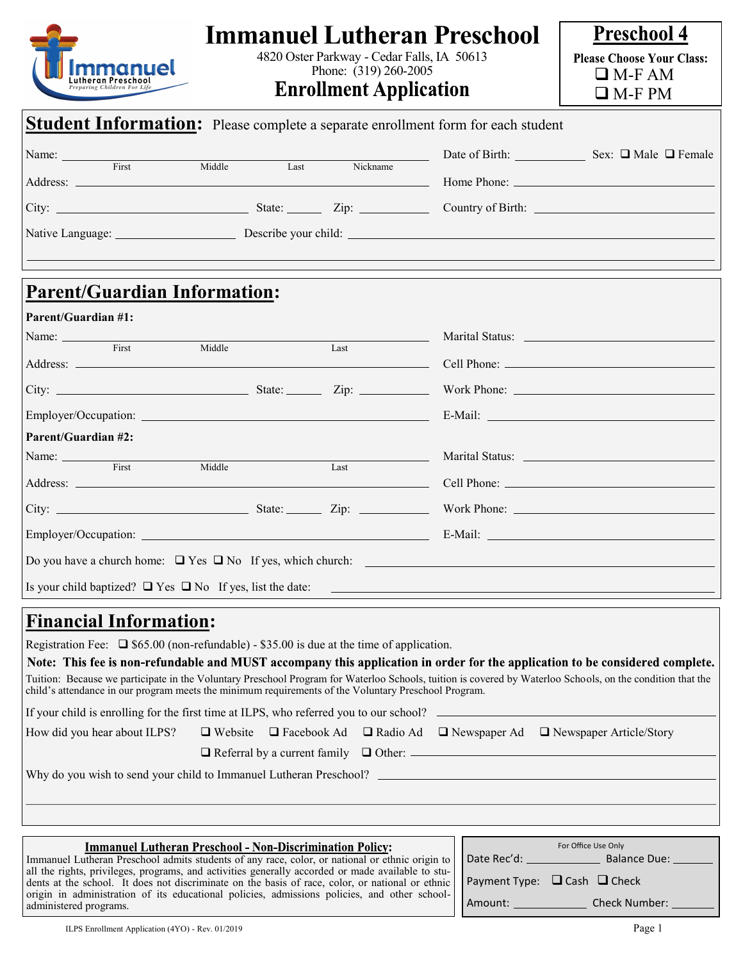| mmanuel<br>utheran Preschool                                                                                                           |        | 4820 Oster Parkway - Cedar Falls, IA 50613<br>Phone: (319) 260-2005<br><b>Enrollment Application</b> | <b>Immanuel Lutheran Preschool</b>                                                                                          | <b>Preschool 4</b><br><b>Please Choose Your Class:</b><br>$\Box$ M-F AM<br>$\Box$ M-F PM |
|----------------------------------------------------------------------------------------------------------------------------------------|--------|------------------------------------------------------------------------------------------------------|-----------------------------------------------------------------------------------------------------------------------------|------------------------------------------------------------------------------------------|
| <b>Student Information:</b> Please complete a separate enrollment form for each student                                                |        |                                                                                                      |                                                                                                                             |                                                                                          |
| Name: Tirst Middle Last Nickname                                                                                                       |        |                                                                                                      |                                                                                                                             | Date of Birth: Sex: □ Male □ Female                                                      |
|                                                                                                                                        |        |                                                                                                      |                                                                                                                             |                                                                                          |
|                                                                                                                                        |        |                                                                                                      |                                                                                                                             |                                                                                          |
| <b>Parent/Guardian Information:</b><br><b>Parent/Guardian #1:</b>                                                                      |        |                                                                                                      |                                                                                                                             |                                                                                          |
|                                                                                                                                        |        |                                                                                                      |                                                                                                                             |                                                                                          |
| $\overline{First}$                                                                                                                     | Middle | Last                                                                                                 |                                                                                                                             |                                                                                          |
|                                                                                                                                        |        |                                                                                                      |                                                                                                                             |                                                                                          |
|                                                                                                                                        |        |                                                                                                      |                                                                                                                             |                                                                                          |
| Parent/Guardian #2:                                                                                                                    |        |                                                                                                      |                                                                                                                             |                                                                                          |
| Name: First                                                                                                                            | Middle | Last                                                                                                 |                                                                                                                             |                                                                                          |
|                                                                                                                                        |        |                                                                                                      |                                                                                                                             |                                                                                          |
|                                                                                                                                        |        |                                                                                                      |                                                                                                                             |                                                                                          |
|                                                                                                                                        |        |                                                                                                      |                                                                                                                             |                                                                                          |
| Do you have a church home: $\Box$ Yes $\Box$ No If yes, which church:                                                                  |        |                                                                                                      |                                                                                                                             |                                                                                          |
| Is your child baptized? $\Box$ Yes $\Box$ No If yes, list the date:                                                                    |        |                                                                                                      |                                                                                                                             |                                                                                          |
| <u><b>Financial Information:</b></u><br>Registration Fee: $\Box$ \$65.00 (non-refundable) - \$35.00 is due at the time of application. |        |                                                                                                      | Note: This fee is non-refundable and MHST accompany this application in erder for the application to be considered complete |                                                                                          |

Note: This fee is non-refundable and MUST accompany this application in order for the application to be considered complete. Tuition: Because we participate in the Voluntary Preschool Program for Waterloo Schools, tuition is covered by Waterloo Schools, on the condition that the child's attendance in our program meets the minimum requirements of the Voluntary Preschool Program.

If your child is enrolling for the first time at ILPS, who referred you to our school?

How did you hear about ILPS? ❑ Website ❑ Facebook Ad ❑ Radio Ad ❑ Newspaper Ad ❑ Newspaper Article/Story

❑ Referral by a current family ❑ Other:

Why do you wish to send your child to Immanuel Lutheran Preschool?

## **Immanuel Lutheran Preschool - Non-Discrimination Policy:**

Immanuel Lutheran Preschool admits students of any race, color, or national or ethnic origin to all the rights, privileges, programs, and activities generally accorded or made available to students at the school. It does not discriminate on the basis of race, color, or national or ethnic origin in administration of its educational policies, admissions policies, and other schooladministered programs.

| For Office Use Only    |                                        |  |  |  |  |
|------------------------|----------------------------------------|--|--|--|--|
| Date Rec'd: __________ | <b>Balance Due:</b>                    |  |  |  |  |
|                        | Payment Type: $\Box$ Cash $\Box$ Check |  |  |  |  |
| Amount:                | Check Number:                          |  |  |  |  |